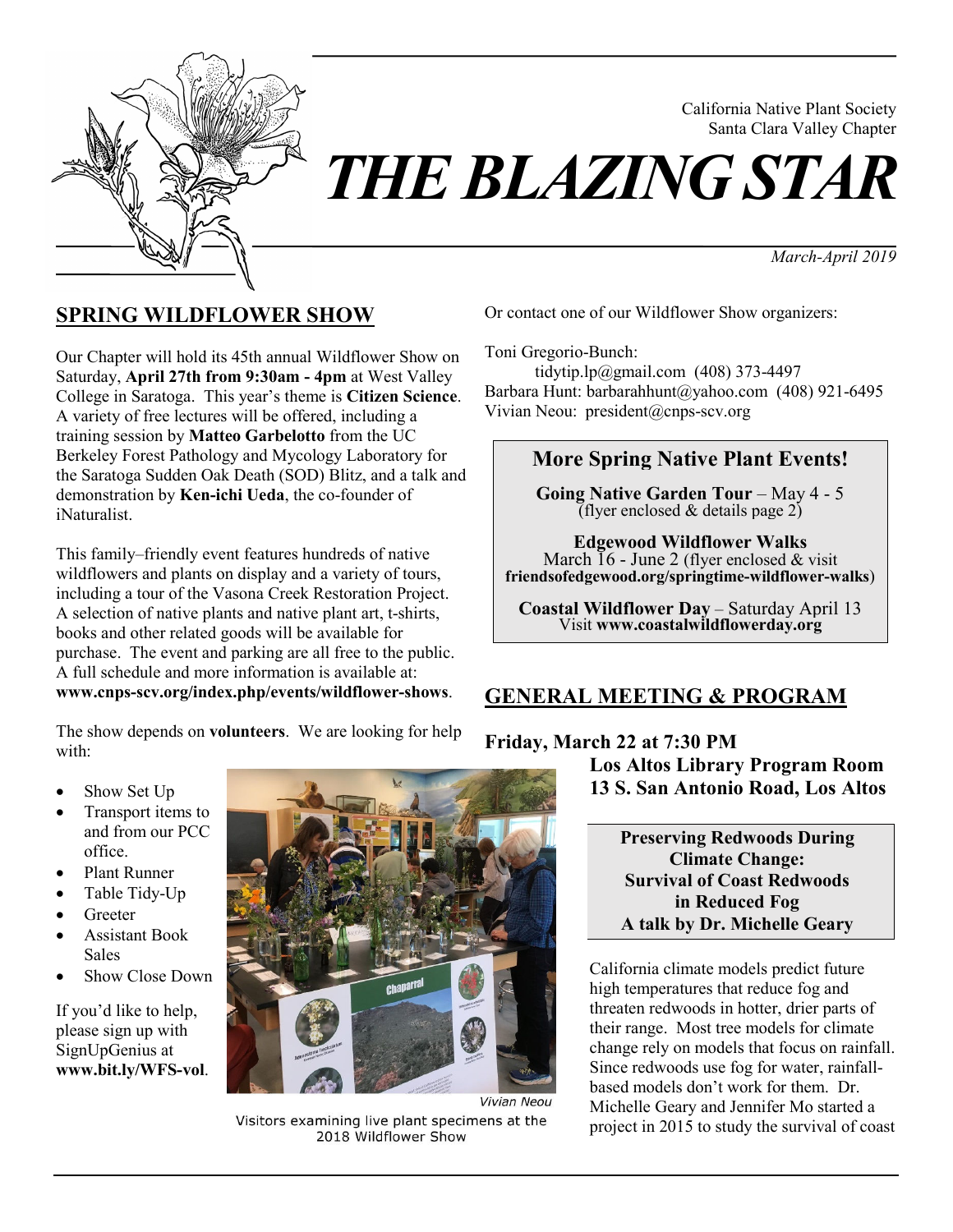

*THE BLAZING STAR* 

*March-April 2019*

California Native Plant Society Santa Clara Valley Chapter

# **SPRING WILDFLOWER SHOW**

Our Chapter will hold its 45th annual Wildflower Show on Saturday, **April 27th from 9:30am - 4pm** at West Valley College in Saratoga. This year's theme is **Citizen Science**. A variety of free lectures will be offered, including a training session by **Matteo Garbelotto** from the UC Berkeley Forest Pathology and Mycology Laboratory for the Saratoga Sudden Oak Death (SOD) Blitz, and a talk and demonstration by **Ken-ichi Ueda**, the co-founder of iNaturalist.

This family–friendly event features hundreds of native wildflowers and plants on display and a variety of tours, including a tour of the Vasona Creek Restoration Project. A selection of native plants and native plant art, t-shirts, books and other related goods will be available for purchase. The event and parking are all free to the public. A full schedule and more information is available at: **www.cnps-scv.org/index.php/events/wildflower-shows**.

The show depends on **volunteers**. We are looking for help with:

Show Set Up

- Transport items to and from our PCC office.
- Plant Runner
- Table Tidy-Up
- **Greeter**
- Assistant Book Sales
- Show Close Down

If you'd like to help, please sign up with SignUpGenius at **www.bit.ly/WFS-vol**.



Vivian Neou Visitors examining live plant specimens at the 2018 Wildflower Show

Or contact one of our Wildflower Show organizers:

Toni Gregorio-Bunch:

 tidytip.lp@gmail.com (408) 373-4497 Barbara Hunt: barbarahhunt@yahoo.com (408) 921-6495 Vivian Neou: president@cnps-scv.org

# **More Spring Native Plant Events!**

**Going Native Garden Tour** – May 4 - 5 (flyer enclosed  $&$  details page  $2)$ )

**Edgewood Wildflower Walks** March  $16$  - June 2 (flyer enclosed & visit) **friendsofedgewood.org/springtime-wildflower-walks**)

**Coastal Wildflower Day** – Saturday April 13 Visit **www.coastalwildflowerday.org**

# **GENERAL MEETING & PROGRAM**

### **Friday, March 22 at 7:30 PM**

**Los Altos Library Program Room 13 S. San Antonio Road, Los Altos**

> **Preserving Redwoods During Climate Change: Survival of Coast Redwoods in Reduced Fog A talk by Dr. Michelle Geary**

California climate models predict future high temperatures that reduce fog and threaten redwoods in hotter, drier parts of their range. Most tree models for climate change rely on models that focus on rainfall. Since redwoods use fog for water, rainfallbased models don't work for them. Dr. Michelle Geary and Jennifer Mo started a project in 2015 to study the survival of coast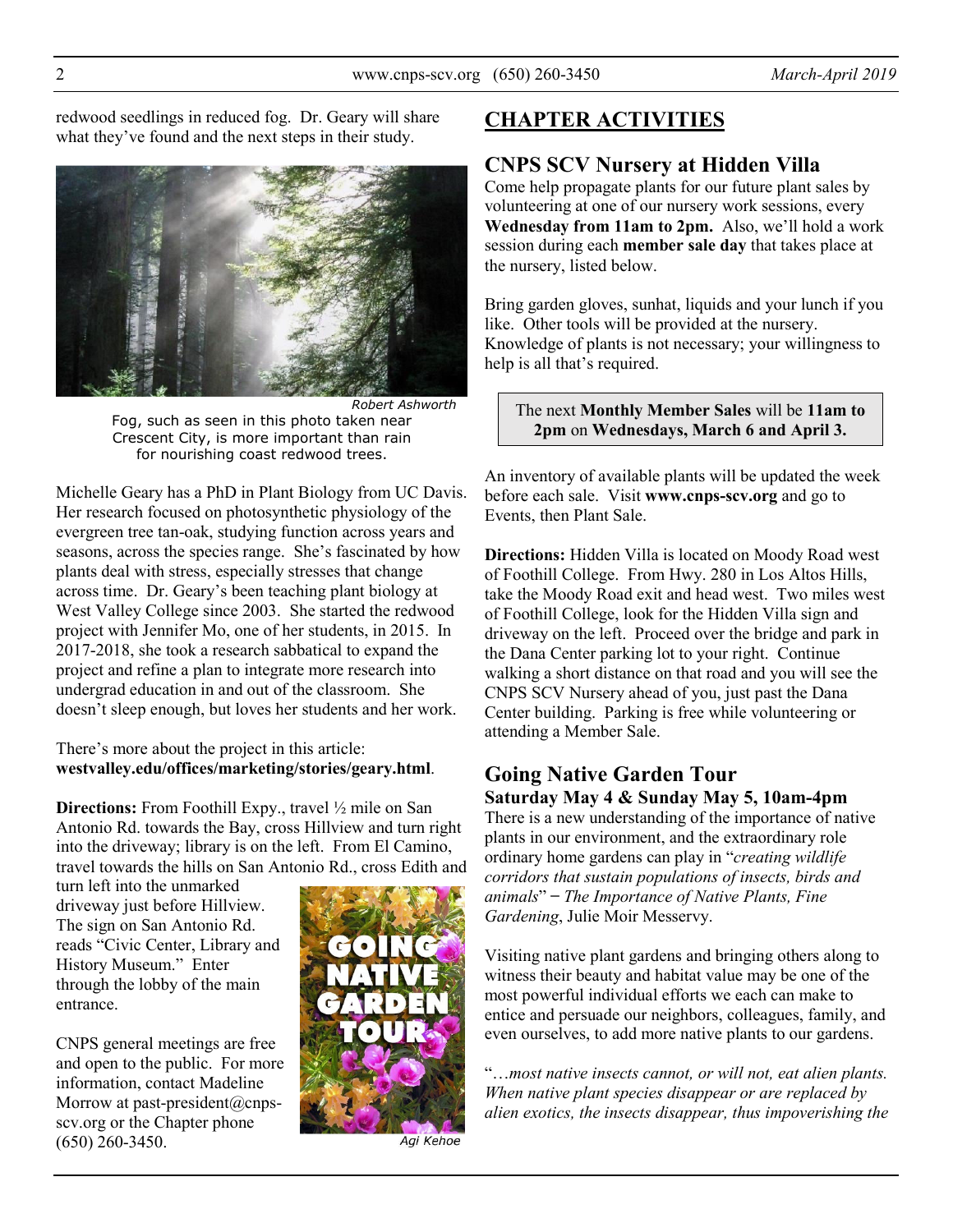redwood seedlings in reduced fog. Dr. Geary will share what they've found and the next steps in their study.



*Robert Ashworth* Fog, such as seen in this photo taken near Crescent City, is more important than rain for nourishing coast redwood trees.

Michelle Geary has a PhD in Plant Biology from UC Davis. Her research focused on photosynthetic physiology of the evergreen tree tan-oak, studying function across years and seasons, across the species range. She's fascinated by how plants deal with stress, especially stresses that change across time. Dr. Geary's been teaching plant biology at West Valley College since 2003. She started the redwood project with Jennifer Mo, one of her students, in 2015. In 2017-2018, she took a research sabbatical to expand the project and refine a plan to integrate more research into undergrad education in and out of the classroom. She doesn't sleep enough, but loves her students and her work.

#### There's more about the project in this article: **westvalley.edu/offices/marketing/stories/geary.html**.

**Directions:** From Foothill Expy., travel  $\frac{1}{2}$  mile on San Antonio Rd. towards the Bay, cross Hillview and turn right into the driveway; library is on the left. From El Camino, travel towards the hills on San Antonio Rd., cross Edith and

turn left into the unmarked driveway just before Hillview. The sign on San Antonio Rd. reads "Civic Center, Library and History Museum." Enter through the lobby of the main entrance.

CNPS general meetings are free and open to the public. For more information, contact Madeline Morrow at past-president@cnpsscv.org or the Chapter phone (650) 260-3450.



Agi Kehoe

# **CHAPTER ACTIVITIES**

## **CNPS SCV Nursery at Hidden Villa**

Come help propagate plants for our future plant sales by volunteering at one of our nursery work sessions, every **Wednesday from 11am to 2pm.** Also, we'll hold a work session during each **member sale day** that takes place at the nursery, listed below.

Bring garden gloves, sunhat, liquids and your lunch if you like. Other tools will be provided at the nursery. Knowledge of plants is not necessary; your willingness to help is all that's required.

The next **Monthly Member Sales** will be **11am to 2pm** on **Wednesdays, March 6 and April 3.**

An inventory of available plants will be updated the week before each sale. Visit **www.cnps-scv.org** and go to Events, then Plant Sale.

**Directions:** Hidden Villa is located on Moody Road west of Foothill College. From Hwy. 280 in Los Altos Hills, take the Moody Road exit and head west. Two miles west of Foothill College, look for the Hidden Villa sign and driveway on the left. Proceed over the bridge and park in the Dana Center parking lot to your right. Continue walking a short distance on that road and you will see the CNPS SCV Nursery ahead of you, just past the Dana Center building. Parking is free while volunteering or attending a Member Sale.

### **Going Native Garden Tour Saturday May 4 & Sunday May 5, 10am-4pm**

There is a new understanding of the importance of native plants in our environment, and the extraordinary role ordinary home gardens can play in "*creating wildlife corridors that sustain populations of insects, birds and animals*" ̶ *The Importance of Native Plants, Fine Gardening*, Julie Moir Messervy.

Visiting native plant gardens and bringing others along to witness their beauty and habitat value may be one of the most powerful individual efforts we each can make to entice and persuade our neighbors, colleagues, family, and even ourselves, to add more native plants to our gardens.

"…*most native insects cannot, or will not, eat alien plants. When native plant species disappear or are replaced by alien exotics, the insects disappear, thus impoverishing the*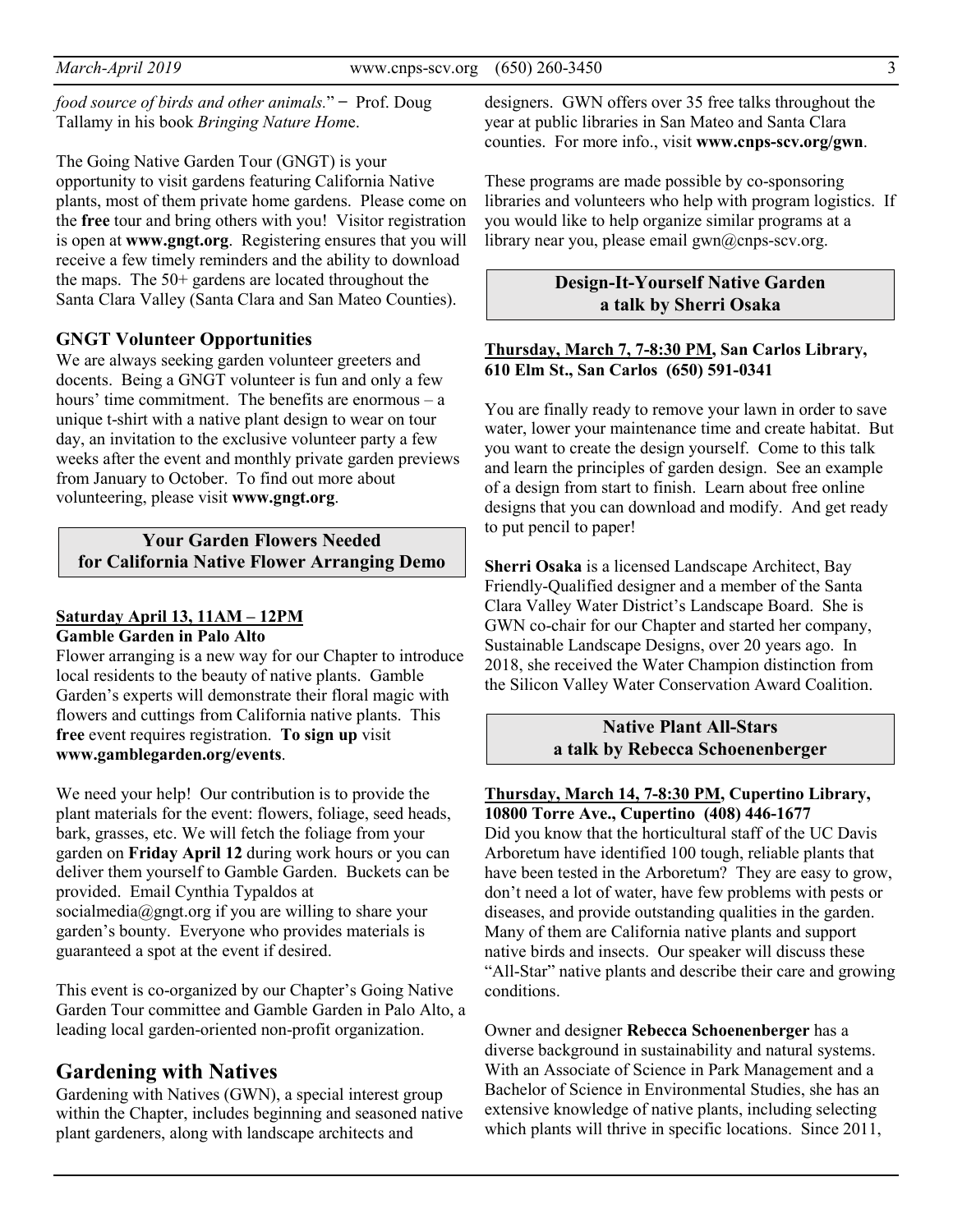*food source of birds and other animals.*" ̶ Prof. Doug Tallamy in his book *Bringing Nature Hom*e.

The Going Native Garden Tour (GNGT) is your opportunity to visit gardens featuring California Native plants, most of them private home gardens. Please come on the **free** tour and bring others with you! Visitor registration is open at **www.gngt.org**. Registering ensures that you will receive a few timely reminders and the ability to download the maps. The 50+ gardens are located throughout the Santa Clara Valley (Santa Clara and San Mateo Counties).

#### **GNGT Volunteer Opportunities**

We are always seeking garden volunteer greeters and docents. Being a GNGT volunteer is fun and only a few hours' time commitment. The benefits are enormous – a unique t-shirt with a native plant design to wear on tour day, an invitation to the exclusive volunteer party a few weeks after the event and monthly private garden previews from January to October. To find out more about volunteering, please visit **www.gngt.org**.

**Your Garden Flowers Needed for California Native Flower Arranging Demo** 

#### **Saturday April 13, 11AM – 12PM Gamble Garden in Palo Alto**

Flower arranging is a new way for our Chapter to introduce local residents to the beauty of native plants. Gamble Garden's experts will demonstrate their floral magic with flowers and cuttings from California native plants. This **free** event requires registration. **To sign up** visit **www.gamblegarden.org/events**.

We need your help! Our contribution is to provide the plant materials for the event: flowers, foliage, seed heads, bark, grasses, etc. We will fetch the foliage from your garden on **Friday April 12** during work hours or you can deliver them yourself to Gamble Garden. Buckets can be provided. Email Cynthia Typaldos at socialmedia@gngt.org if you are willing to share your garden's bounty. Everyone who provides materials is guaranteed a spot at the event if desired.

This event is co-organized by our Chapter's Going Native Garden Tour committee and Gamble Garden in Palo Alto, a leading local garden-oriented non-profit organization.

### **Gardening with Natives**

Gardening with Natives (GWN), a special interest group within the Chapter, includes beginning and seasoned native plant gardeners, along with landscape architects and

designers. GWN offers over 35 free talks throughout the year at public libraries in San Mateo and Santa Clara counties. For more info., visit **www.cnps-scv.org/gwn**.

These programs are made possible by co-sponsoring libraries and volunteers who help with program logistics. If you would like to help organize similar programs at a library near you, please email gwn@cnps-scv.org.

> **Design-It-Yourself Native Garden a talk by Sherri Osaka**

#### **Thursday, March 7, 7-8:30 PM, San Carlos Library, 610 Elm St., San Carlos (650) 591-0341**

You are finally ready to remove your lawn in order to save water, lower your maintenance time and create habitat. But you want to create the design yourself. Come to this talk and learn the principles of garden design. See an example of a design from start to finish. Learn about free online designs that you can download and modify. And get ready to put pencil to paper!

**Sherri Osaka** is a licensed Landscape Architect, Bay Friendly-Qualified designer and a member of the Santa Clara Valley Water District's Landscape Board. She is GWN co-chair for our Chapter and started her company, Sustainable Landscape Designs, over 20 years ago. In 2018, she received the Water Champion distinction from the Silicon Valley Water Conservation Award Coalition.

#### **Native Plant All-Stars a talk by Rebecca Schoenenberger**

#### **Thursday, March 14, 7-8:30 PM, Cupertino Library, 10800 Torre Ave., Cupertino (408) 446-1677**

Did you know that the horticultural staff of the UC Davis Arboretum have identified 100 tough, reliable plants that have been tested in the Arboretum? They are easy to grow, don't need a lot of water, have few problems with pests or diseases, and provide outstanding qualities in the garden. Many of them are California native plants and support native birds and insects. Our speaker will discuss these "All-Star" native plants and describe their care and growing conditions.

Owner and designer **Rebecca Schoenenberger** has a diverse background in sustainability and natural systems. With an Associate of Science in Park Management and a Bachelor of Science in Environmental Studies, she has an extensive knowledge of native plants, including selecting which plants will thrive in specific locations. Since 2011,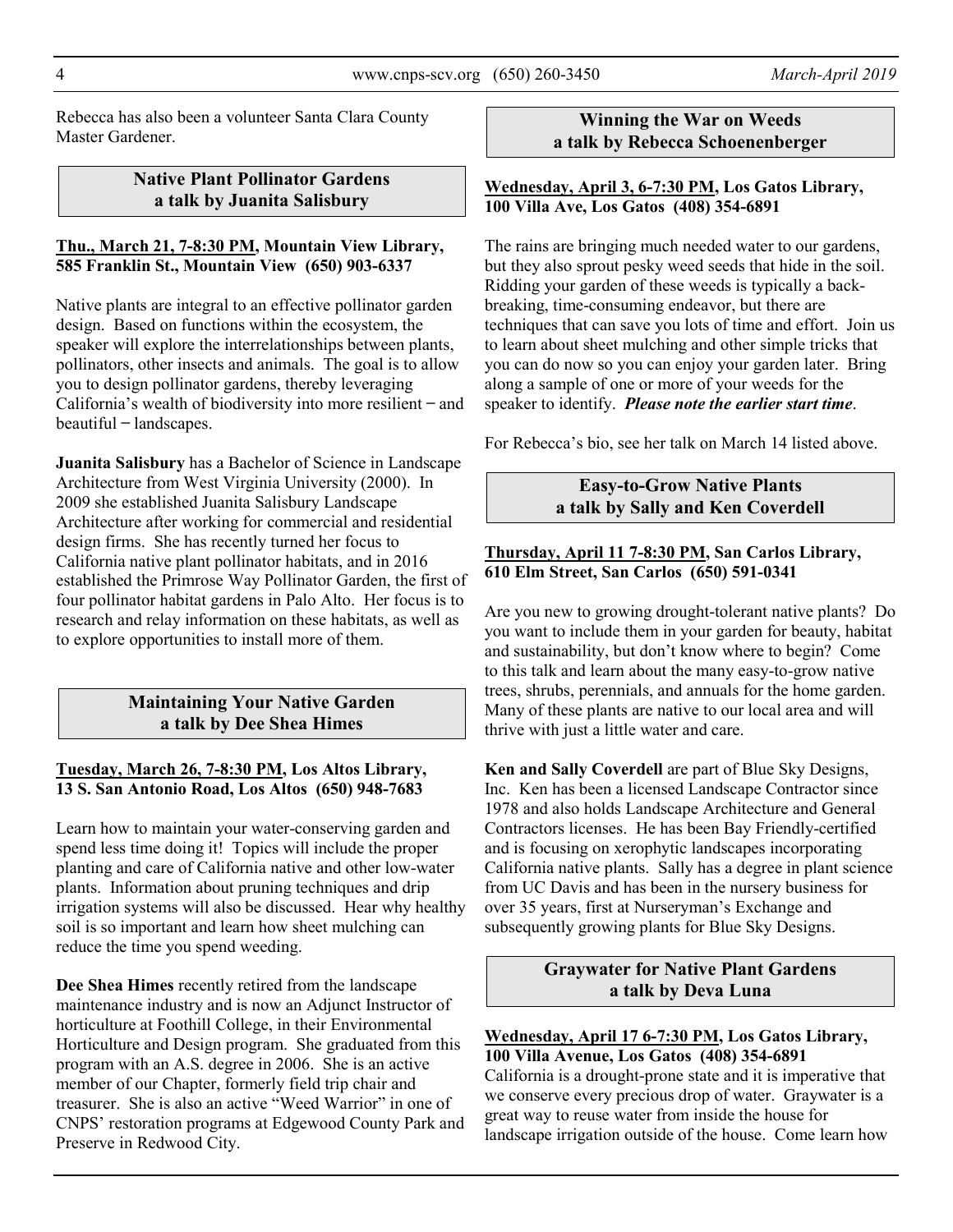Rebecca has also been a volunteer Santa Clara County Master Gardener.

### **Native Plant Pollinator Gardens a talk by Juanita Salisbury**

#### **Thu., March 21, 7-8:30 PM, Mountain View Library, 585 Franklin St., Mountain View (650) 903-6337**

Native plants are integral to an effective pollinator garden design. Based on functions within the ecosystem, the speaker will explore the interrelationships between plants, pollinators, other insects and animals. The goal is to allow you to design pollinator gardens, thereby leveraging California's wealth of biodiversity into more resilient ̶ and  $beautiful - landscapes.$ 

**Juanita Salisbury** has a Bachelor of Science in Landscape Architecture from West Virginia University (2000). In 2009 she established Juanita Salisbury Landscape Architecture after working for commercial and residential design firms. She has recently turned her focus to California native plant pollinator habitats, and in 2016 established the Primrose Way Pollinator Garden, the first of four pollinator habitat gardens in Palo Alto. Her focus is to research and relay information on these habitats, as well as to explore opportunities to install more of them.

### **Maintaining Your Native Garden a talk by Dee Shea Himes**

#### **Tuesday, March 26, 7-8:30 PM, Los Altos Library, 13 S. San Antonio Road, Los Altos (650) 948-7683**

Learn how to maintain your water-conserving garden and spend less time doing it! Topics will include the proper planting and care of California native and other low-water plants. Information about pruning techniques and drip irrigation systems will also be discussed. Hear why healthy soil is so important and learn how sheet mulching can reduce the time you spend weeding.

**Dee Shea Himes** recently retired from the landscape maintenance industry and is now an Adjunct Instructor of horticulture at Foothill College, in their Environmental Horticulture and Design program. She graduated from this program with an A.S. degree in 2006. She is an active member of our Chapter, formerly field trip chair and treasurer. She is also an active "Weed Warrior" in one of CNPS' restoration programs at Edgewood County Park and Preserve in Redwood City.

### **Winning the War on Weeds a talk by Rebecca Schoenenberger**

#### **Wednesday, April 3, 6-7:30 PM, Los Gatos Library, 100 Villa Ave, Los Gatos (408) 354-6891**

The rains are bringing much needed water to our gardens, but they also sprout pesky weed seeds that hide in the soil. Ridding your garden of these weeds is typically a backbreaking, time-consuming endeavor, but there are techniques that can save you lots of time and effort. Join us to learn about sheet mulching and other simple tricks that you can do now so you can enjoy your garden later. Bring along a sample of one or more of your weeds for the speaker to identify. *Please note the earlier start time*.

For Rebecca's bio, see her talk on March 14 listed above.

### **Easy-to-Grow Native Plants a talk by Sally and Ken Coverdell**

#### **Thursday, April 11 7-8:30 PM, San Carlos Library, 610 Elm Street, San Carlos (650) 591-0341**

Are you new to growing drought-tolerant native plants? Do you want to include them in your garden for beauty, habitat and sustainability, but don't know where to begin? Come to this talk and learn about the many easy-to-grow native trees, shrubs, perennials, and annuals for the home garden. Many of these plants are native to our local area and will thrive with just a little water and care.

**Ken and Sally Coverdell** are part of Blue Sky Designs, Inc. Ken has been a licensed Landscape Contractor since 1978 and also holds Landscape Architecture and General Contractors licenses. He has been Bay Friendly-certified and is focusing on xerophytic landscapes incorporating California native plants. Sally has a degree in plant science from UC Davis and has been in the nursery business for over 35 years, first at Nurseryman's Exchange and subsequently growing plants for Blue Sky Designs.

### **Graywater for Native Plant Gardens a talk by Deva Luna**

#### **Wednesday, April 17 6-7:30 PM, Los Gatos Library, 100 Villa Avenue, Los Gatos (408) 354-6891**

California is a drought-prone state and it is imperative that we conserve every precious drop of water. Graywater is a great way to reuse water from inside the house for landscape irrigation outside of the house. Come learn how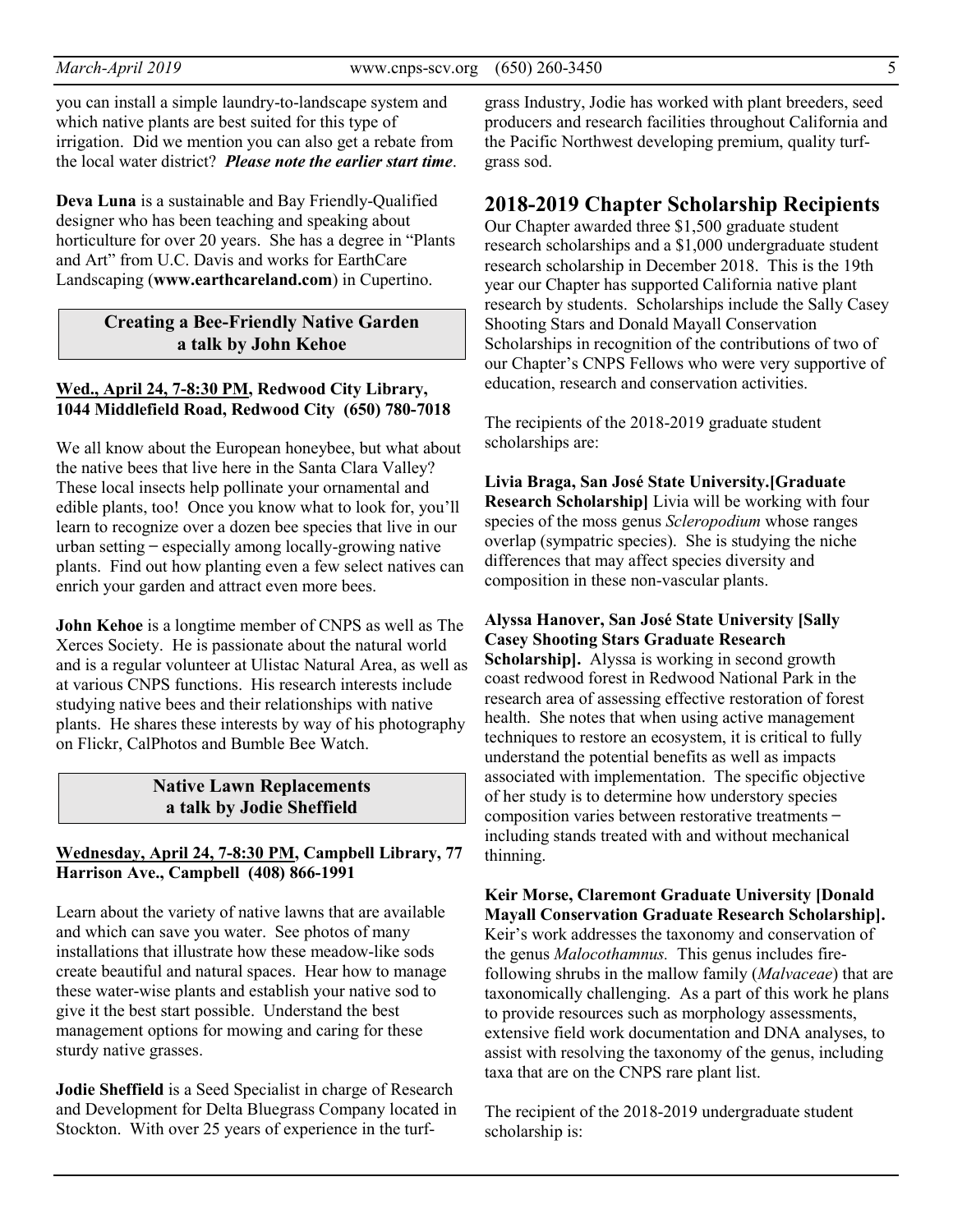you can install a simple laundry-to-landscape system and which native plants are best suited for this type of irrigation. Did we mention you can also get a rebate from the local water district? *Please note the earlier start time*.

**Deva Luna** is a sustainable and Bay Friendly-Qualified designer who has been teaching and speaking about horticulture for over 20 years. She has a degree in "Plants and Art" from U.C. Davis and works for EarthCare Landscaping (**www.earthcareland.com**) in Cupertino.

#### **Creating a Bee-Friendly Native Garden a talk by John Kehoe**

#### **Wed., April 24, 7-8:30 PM, Redwood City Library, 1044 Middlefield Road, Redwood City (650) 780-7018**

We all know about the European honeybee, but what about the native bees that live here in the Santa Clara Valley? These local insects help pollinate your ornamental and edible plants, too! Once you know what to look for, you'll learn to recognize over a dozen bee species that live in our urban setting ̶ especially among locally-growing native plants. Find out how planting even a few select natives can enrich your garden and attract even more bees.

**John Kehoe** is a longtime member of CNPS as well as The Xerces Society. He is passionate about the natural world and is a regular volunteer at Ulistac Natural Area, as well as at various CNPS functions. His research interests include studying native bees and their relationships with native plants. He shares these interests by way of his photography on Flickr, CalPhotos and Bumble Bee Watch.

#### **Native Lawn Replacements a talk by Jodie Sheffield**

#### **Wednesday, April 24, 7-8:30 PM, Campbell Library, 77 Harrison Ave., Campbell (408) 866-1991**

Learn about the variety of native lawns that are available and which can save you water. See photos of many installations that illustrate how these meadow-like sods create beautiful and natural spaces. Hear how to manage these water-wise plants and establish your native sod to give it the best start possible. Understand the best management options for mowing and caring for these sturdy native grasses.

**Jodie Sheffield** is a Seed Specialist in charge of Research and Development for Delta Bluegrass Company located in Stockton. With over 25 years of experience in the turf-

grass Industry, Jodie has worked with plant breeders, seed producers and research facilities throughout California and the Pacific Northwest developing premium, quality turfgrass sod.

### **2018-2019 Chapter Scholarship Recipients**

Our Chapter awarded three \$1,500 graduate student research scholarships and a \$1,000 undergraduate student research scholarship in December 2018. This is the 19th year our Chapter has supported California native plant research by students. Scholarships include the Sally Casey Shooting Stars and Donald Mayall Conservation Scholarships in recognition of the contributions of two of our Chapter's CNPS Fellows who were very supportive of education, research and conservation activities.

The recipients of the 2018-2019 graduate student scholarships are:

**Livia Braga, San José State University.[Graduate Research Scholarship]** Livia will be working with four species of the moss genus *Scleropodium* whose ranges overlap (sympatric species). She is studying the niche differences that may affect species diversity and composition in these non-vascular plants.

#### **Alyssa Hanover, San José State University [Sally Casey Shooting Stars Graduate Research**

**Scholarship].** Alyssa is working in second growth coast redwood forest in Redwood National Park in the research area of assessing effective restoration of forest health. She notes that when using active management techniques to restore an ecosystem, it is critical to fully understand the potential benefits as well as impacts associated with implementation. The specific objective of her study is to determine how understory species composition varies between restorative treatments ̶ including stands treated with and without mechanical thinning.

**Keir Morse, Claremont Graduate University [Donald Mayall Conservation Graduate Research Scholarship].** Keir's work addresses the taxonomy and conservation of the genus *Malocothamnus.* This genus includes firefollowing shrubs in the mallow family (*Malvaceae*) that are taxonomically challenging. As a part of this work he plans to provide resources such as morphology assessments, extensive field work documentation and DNA analyses, to assist with resolving the taxonomy of the genus, including taxa that are on the CNPS rare plant list.

The recipient of the 2018-2019 undergraduate student scholarship is: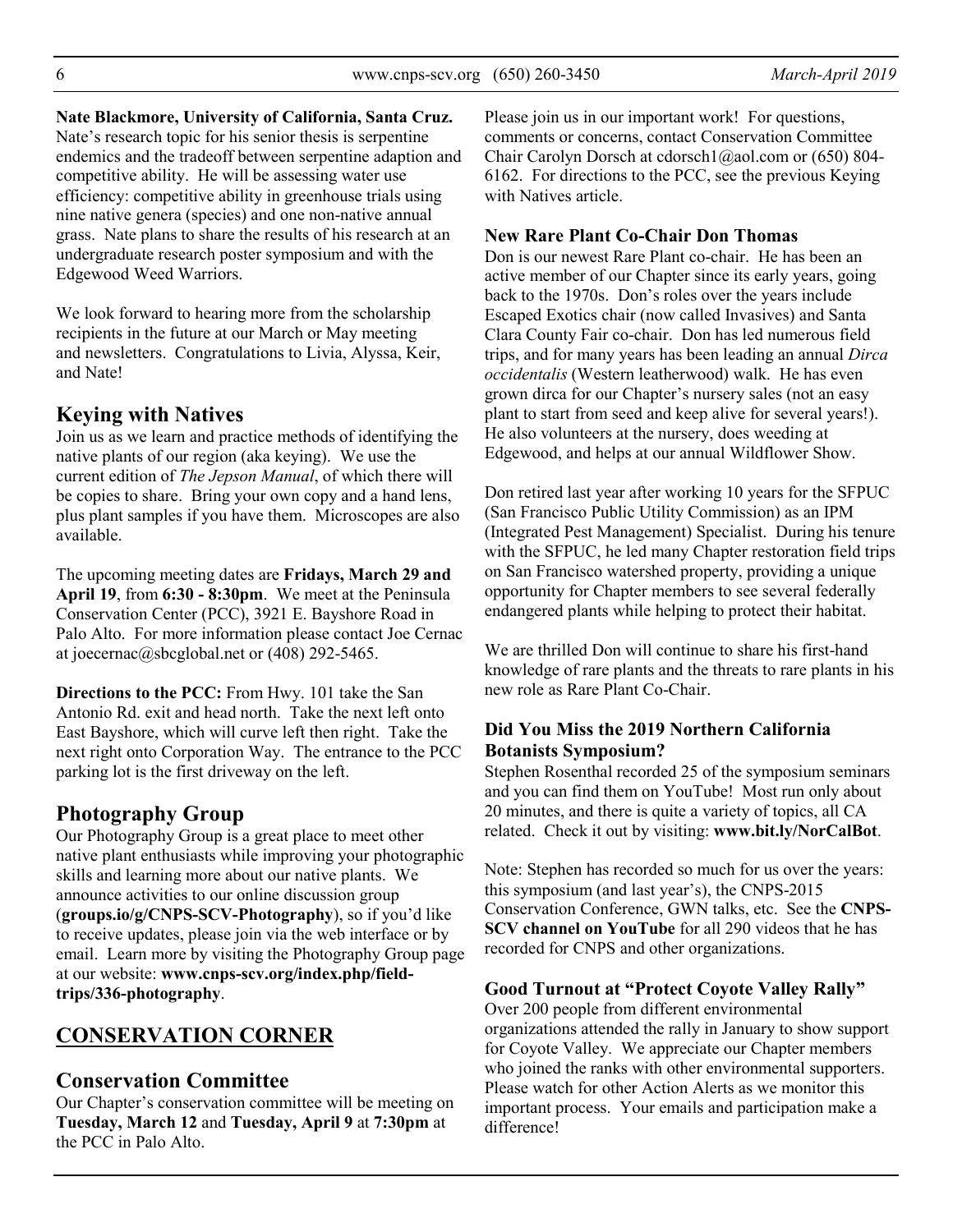#### **Nate Blackmore, University of California, Santa Cruz.**

Nate's research topic for his senior thesis is serpentine endemics and the tradeoff between serpentine adaption and competitive ability. He will be assessing water use efficiency: competitive ability in greenhouse trials using nine native genera (species) and one non-native annual grass. Nate plans to share the results of his research at an undergraduate research poster symposium and with the Edgewood Weed Warriors.

We look forward to hearing more from the scholarship recipients in the future at our March or May meeting and newsletters. Congratulations to Livia, Alyssa, Keir, and Nate!

### **Keying with Natives**

Join us as we learn and practice methods of identifying the native plants of our region (aka keying). We use the current edition of *The Jepson Manual*, of which there will be copies to share. Bring your own copy and a hand lens, plus plant samples if you have them. Microscopes are also available.

The upcoming meeting dates are **Fridays, March 29 and April 19**, from **6:30 - 8:30pm**. We meet at the Peninsula Conservation Center (PCC), 3921 E. Bayshore Road in Palo Alto. For more information please contact Joe Cernac at joecernac@sbcglobal.net or (408) 292-5465.

**Directions to the PCC:** From Hwy. 101 take the San Antonio Rd. exit and head north. Take the next left onto East Bayshore, which will curve left then right. Take the next right onto Corporation Way. The entrance to the PCC parking lot is the first driveway on the left.

# **Photography Group**

Our Photography Group is a great place to meet other native plant enthusiasts while improving your photographic skills and learning more about our native plants. We announce activities to our online discussion group (**groups.io/g/CNPS-SCV-Photography**), so if you'd like to receive updates, please join via the web interface or by email. Learn more by visiting the Photography Group page at our website: **www.cnps-scv.org/index.php/fieldtrips/336-photography**.

# **CONSERVATION CORNER**

### **Conservation Committee**

Our Chapter's conservation committee will be meeting on **Tuesday, March 12** and **Tuesday, April 9** at **7:30pm** at the PCC in Palo Alto.

Please join us in our important work! For questions, comments or concerns, contact Conservation Committee Chair Carolyn Dorsch at cdorsch1@aol.com or (650) 804- 6162. For directions to the PCC, see the previous Keying with Natives article.

#### **New Rare Plant Co-Chair Don Thomas**

Don is our newest Rare Plant co-chair. He has been an active member of our Chapter since its early years, going back to the 1970s. Don's roles over the years include Escaped Exotics chair (now called Invasives) and Santa Clara County Fair co-chair. Don has led numerous field trips, and for many years has been leading an annual *Dirca occidentalis* (Western leatherwood) walk. He has even grown dirca for our Chapter's nursery sales (not an easy plant to start from seed and keep alive for several years!). He also volunteers at the nursery, does weeding at Edgewood, and helps at our annual Wildflower Show.

Don retired last year after working 10 years for the SFPUC (San Francisco Public Utility Commission) as an IPM (Integrated Pest Management) Specialist. During his tenure with the SFPUC, he led many Chapter restoration field trips on San Francisco watershed property, providing a unique opportunity for Chapter members to see several federally endangered plants while helping to protect their habitat.

We are thrilled Don will continue to share his first-hand knowledge of rare plants and the threats to rare plants in his new role as Rare Plant Co-Chair.

### **Did You Miss the 2019 Northern California Botanists Symposium?**

Stephen Rosenthal recorded 25 of the symposium seminars and you can find them on YouTube! Most run only about 20 minutes, and there is quite a variety of topics, all CA related. Check it out by visiting: **www.bit.ly/NorCalBot**.

Note: Stephen has recorded so much for us over the years: this symposium (and last year's), the CNPS-2015 Conservation Conference, GWN talks, etc. See the **CNPS-SCV channel on YouTube** for all 290 videos that he has recorded for CNPS and other organizations.

#### **Good Turnout at "Protect Coyote Valley Rally"**

Over 200 people from different environmental organizations attended the rally in January to show support for Coyote Valley. We appreciate our Chapter members who joined the ranks with other environmental supporters. Please watch for other Action Alerts as we monitor this important process. Your emails and participation make a difference!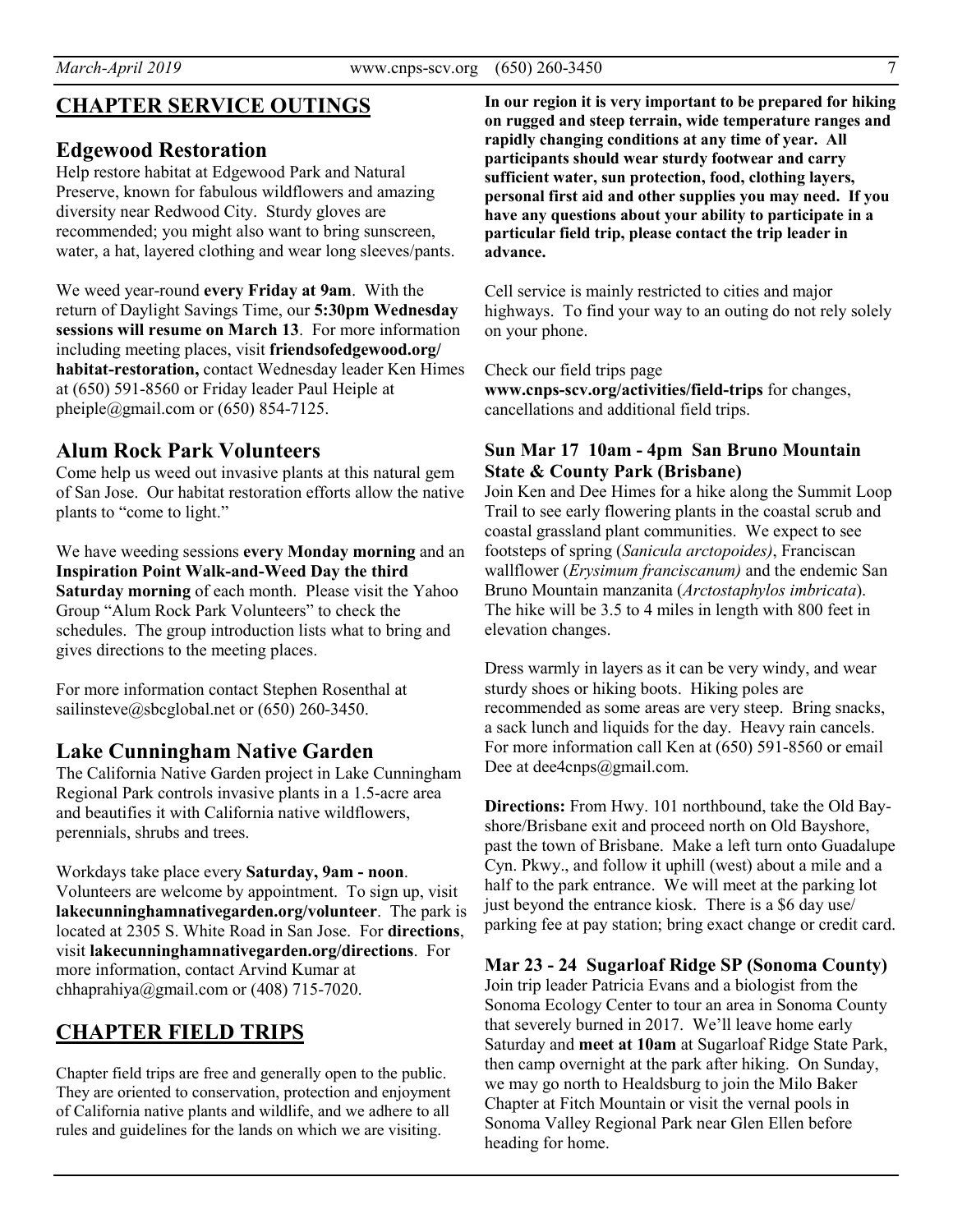# **CHAPTER SERVICE OUTINGS**

### **Edgewood Restoration**

Help restore habitat at Edgewood Park and Natural Preserve, known for fabulous wildflowers and amazing diversity near Redwood City. Sturdy gloves are recommended; you might also want to bring sunscreen, water, a hat, layered clothing and wear long sleeves/pants.

We weed year-round **every Friday at 9am**. With the return of Daylight Savings Time, our **5:30pm Wednesday sessions will resume on March 13**. For more information including meeting places, visit **friendsofedgewood.org/ habitat-restoration,** contact Wednesday leader Ken Himes at (650) 591-8560 or Friday leader Paul Heiple at pheiple@gmail.com or  $(650)$  854-7125.

## **Alum Rock Park Volunteers**

Come help us weed out invasive plants at this natural gem of San Jose. Our habitat restoration efforts allow the native plants to "come to light."

We have weeding sessions **every Monday morning** and an **Inspiration Point Walk-and-Weed Day the third Saturday morning** of each month. Please visit the Yahoo Group "Alum Rock Park Volunteers" to check the schedules. The group introduction lists what to bring and gives directions to the meeting places.

For more information contact Stephen Rosenthal at sailinsteve@sbcglobal.net or (650) 260-3450.

### **Lake Cunningham Native Garden**

The California Native Garden project in Lake Cunningham Regional Park controls invasive plants in a 1.5-acre area and beautifies it with California native wildflowers, perennials, shrubs and trees.

Workdays take place every **Saturday, 9am - noon**. Volunteers are welcome by appointment. To sign up, visit **lakecunninghamnativegarden.org/volunteer**. The park is located at 2305 S. White Road in San Jose. For **directions**, visit **lakecunninghamnativegarden.org/directions**. For more information, contact Arvind Kumar at chhaprahiya@gmail.com or  $(408)$  715-7020.

# **CHAPTER FIELD TRIPS**

Chapter field trips are free and generally open to the public. They are oriented to conservation, protection and enjoyment of California native plants and wildlife, and we adhere to all rules and guidelines for the lands on which we are visiting.

**In our region it is very important to be prepared for hiking on rugged and steep terrain, wide temperature ranges and rapidly changing conditions at any time of year. All participants should wear sturdy footwear and carry sufficient water, sun protection, food, clothing layers, personal first aid and other supplies you may need. If you have any questions about your ability to participate in a particular field trip, please contact the trip leader in advance.** 

Cell service is mainly restricted to cities and major highways. To find your way to an outing do not rely solely on your phone.

Check our field trips page

**www.cnps-scv.org/activities/field-trips** for changes, cancellations and additional field trips.

#### **Sun Mar 17 10am - 4pm San Bruno Mountain State & County Park (Brisbane)**

Join Ken and Dee Himes for a hike along the Summit Loop Trail to see early flowering plants in the coastal scrub and coastal grassland plant communities. We expect to see footsteps of spring (*Sanicula arctopoides)*, Franciscan wallflower (*Erysimum franciscanum)* and the endemic San Bruno Mountain manzanita (*Arctostaphylos imbricata*). The hike will be 3.5 to 4 miles in length with 800 feet in elevation changes.

Dress warmly in layers as it can be very windy, and wear sturdy shoes or hiking boots. Hiking poles are recommended as some areas are very steep. Bring snacks, a sack lunch and liquids for the day. Heavy rain cancels. For more information call Ken at (650) 591-8560 or email Dee at dee4cnps@gmail.com.

**Directions:** From Hwy. 101 northbound, take the Old Bayshore/Brisbane exit and proceed north on Old Bayshore, past the town of Brisbane. Make a left turn onto Guadalupe Cyn. Pkwy., and follow it uphill (west) about a mile and a half to the park entrance. We will meet at the parking lot just beyond the entrance kiosk. There is a \$6 day use/ parking fee at pay station; bring exact change or credit card.

#### **Mar 23 - 24 Sugarloaf Ridge SP (Sonoma County)**

Join trip leader Patricia Evans and a biologist from the Sonoma Ecology Center to tour an area in Sonoma County that severely burned in 2017. We'll leave home early Saturday and **meet at 10am** at Sugarloaf Ridge State Park, then camp overnight at the park after hiking. On Sunday, we may go north to Healdsburg to join the Milo Baker Chapter at Fitch Mountain or visit the vernal pools in Sonoma Valley Regional Park near Glen Ellen before heading for home.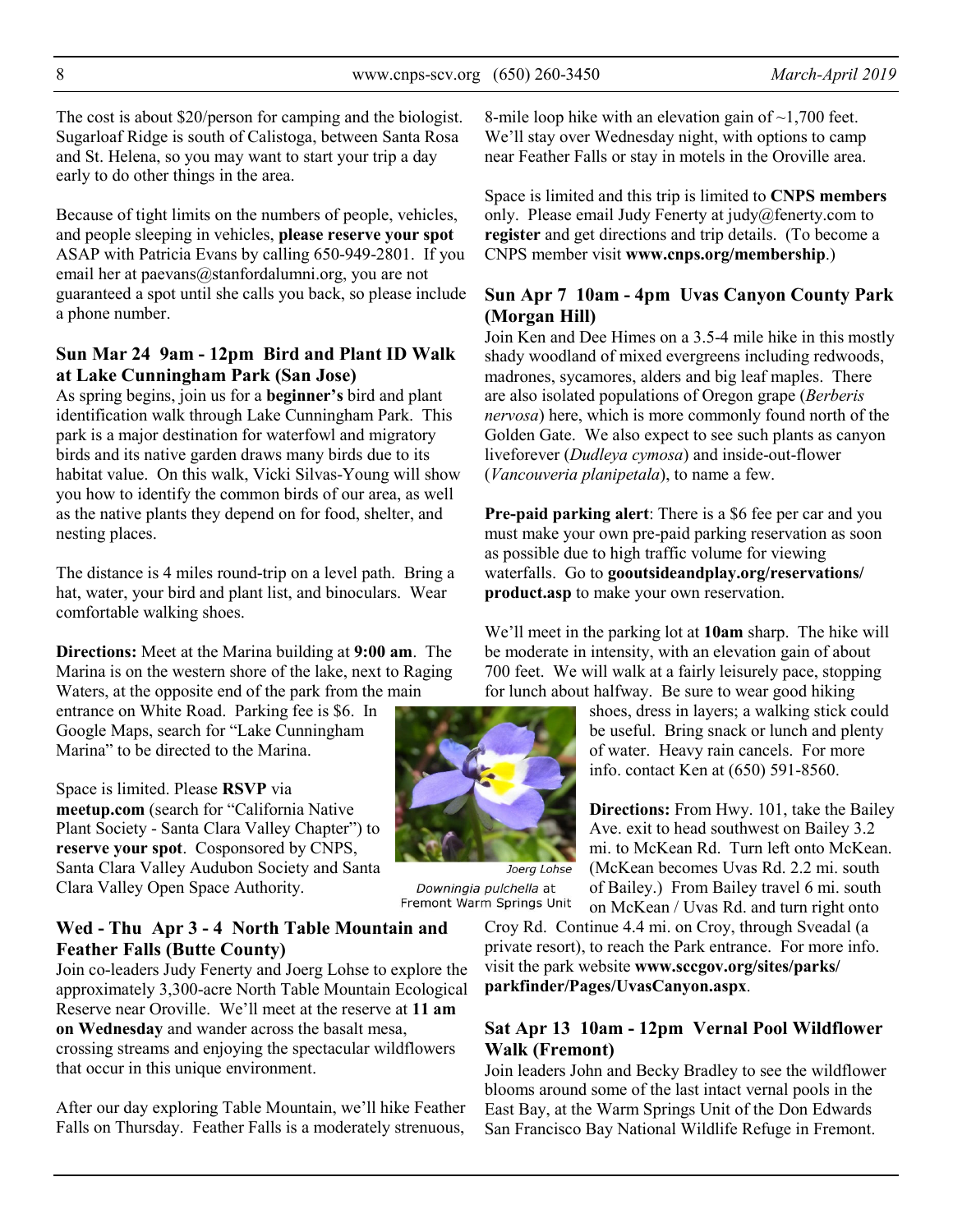The cost is about \$20/person for camping and the biologist. Sugarloaf Ridge is south of Calistoga, between Santa Rosa and St. Helena, so you may want to start your trip a day early to do other things in the area.

Because of tight limits on the numbers of people, vehicles, and people sleeping in vehicles, **please reserve your spot** ASAP with Patricia Evans by calling 650-949-2801. If you email her at paevans@stanfordalumni.org, you are not guaranteed a spot until she calls you back, so please include a phone number.

#### **Sun Mar 24 9am - 12pm Bird and Plant ID Walk at Lake Cunningham Park (San Jose)**

As spring begins, join us for a **beginner's** bird and plant identification walk through Lake Cunningham Park. This park is a major destination for waterfowl and migratory birds and its native garden draws many birds due to its habitat value. On this walk, Vicki Silvas-Young will show you how to identify the common birds of our area, as well as the native plants they depend on for food, shelter, and nesting places.

The distance is 4 miles round-trip on a level path. Bring a hat, water, your bird and plant list, and binoculars. Wear comfortable walking shoes.

**Directions:** Meet at the Marina building at **9:00 am**. The Marina is on the western shore of the lake, next to Raging Waters, at the opposite end of the park from the main

entrance on White Road. Parking fee is \$6. In Google Maps, search for "Lake Cunningham Marina" to be directed to the Marina.

Space is limited. Please **RSVP** via **meetup.com** (search for "California Native Plant Society - Santa Clara Valley Chapter") to **reserve your spot**. Cosponsored by CNPS, Santa Clara Valley Audubon Society and Santa Clara Valley Open Space Authority.

### **Wed - Thu Apr 3 - 4 North Table Mountain and Feather Falls (Butte County)**

Join co-leaders Judy Fenerty and Joerg Lohse to explore the approximately 3,300-acre North Table Mountain Ecological Reserve near Oroville. We'll meet at the reserve at **11 am on Wednesday** and wander across the basalt mesa, crossing streams and enjoying the spectacular wildflowers that occur in this unique environment.

After our day exploring Table Mountain, we'll hike Feather Falls on Thursday. Feather Falls is a moderately strenuous,

8-mile loop hike with an elevation gain of  $\sim$ 1,700 feet. We'll stay over Wednesday night, with options to camp near Feather Falls or stay in motels in the Oroville area.

Space is limited and this trip is limited to **CNPS members** only. Please email Judy Fenerty at judy@fenerty.com to **register** and get directions and trip details. (To become a CNPS member visit **www.cnps.org/membership**.)

### **Sun Apr 7 10am - 4pm Uvas Canyon County Park (Morgan Hill)**

Join Ken and Dee Himes on a 3.5-4 mile hike in this mostly shady woodland of mixed evergreens including redwoods, madrones, sycamores, alders and big leaf maples. There are also isolated populations of Oregon grape (*Berberis nervosa*) here, which is more commonly found north of the Golden Gate. We also expect to see such plants as canyon liveforever (*Dudleya cymosa*) and inside-out-flower (*Vancouveria planipetala*), to name a few.

**Pre-paid parking alert**: There is a \$6 fee per car and you must make your own pre-paid parking reservation as soon as possible due to high traffic volume for viewing waterfalls. Go to **gooutsideandplay.org/reservations/ product.asp** to make your own reservation.

We'll meet in the parking lot at **10am** sharp. The hike will be moderate in intensity, with an elevation gain of about 700 feet. We will walk at a fairly leisurely pace, stopping for lunch about halfway. Be sure to wear good hiking

> shoes, dress in layers; a walking stick could be useful. Bring snack or lunch and plenty of water. Heavy rain cancels. For more info. contact Ken at (650) 591-8560.

**Directions:** From Hwy. 101, take the Bailey Ave. exit to head southwest on Bailey 3.2 mi. to McKean Rd. Turn left onto McKean. (McKean becomes Uvas Rd. 2.2 mi. south of Bailey.) From Bailey travel 6 mi. south on McKean / Uvas Rd. and turn right onto

Croy Rd. Continue 4.4 mi. on Croy, through Sveadal (a private resort), to reach the Park entrance. For more info. visit the park website **www.sccgov.org/sites/parks/ parkfinder/Pages/UvasCanyon.aspx**.

### **Sat Apr 13 10am - 12pm Vernal Pool Wildflower Walk (Fremont)**

Join leaders John and Becky Bradley to see the wildflower blooms around some of the last intact vernal pools in the East Bay, at the Warm Springs Unit of the Don Edwards San Francisco Bay National Wildlife Refuge in Fremont.



Downingia pulchella at Fremont Warm Springs Unit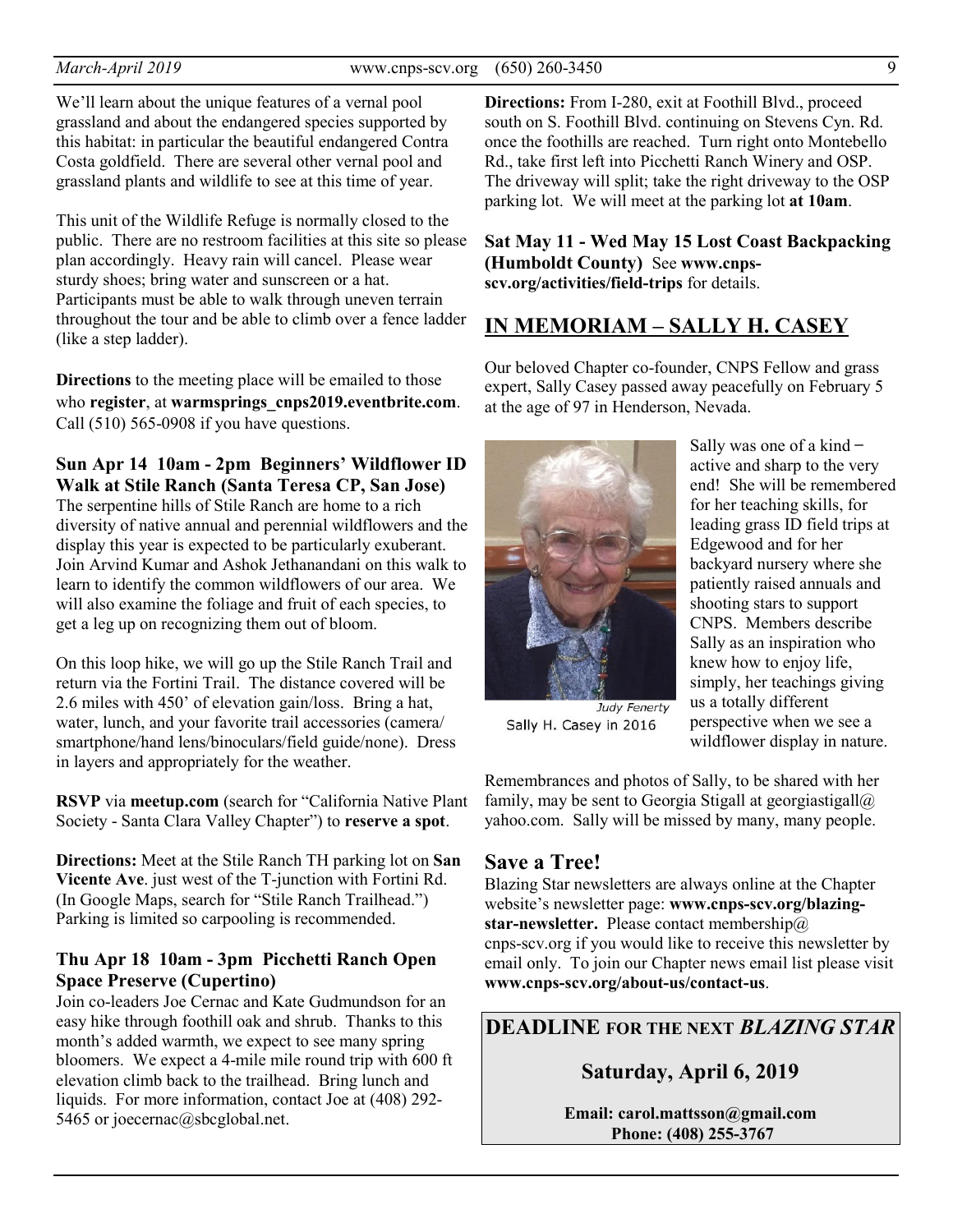We'll learn about the unique features of a vernal pool grassland and about the endangered species supported by this habitat: in particular the beautiful endangered Contra Costa goldfield. There are several other vernal pool and grassland plants and wildlife to see at this time of year.

This unit of the Wildlife Refuge is normally closed to the public. There are no restroom facilities at this site so please plan accordingly. Heavy rain will cancel. Please wear sturdy shoes; bring water and sunscreen or a hat. Participants must be able to walk through uneven terrain throughout the tour and be able to climb over a fence ladder (like a step ladder).

**Directions** to the meeting place will be emailed to those who **register**, at **warmsprings\_cnps2019.eventbrite.com**. Call (510) 565-0908 if you have questions.

### **Sun Apr 14 10am - 2pm Beginners' Wildflower ID Walk at Stile Ranch (Santa Teresa CP, San Jose)**

The serpentine hills of Stile Ranch are home to a rich diversity of native annual and perennial wildflowers and the display this year is expected to be particularly exuberant. Join Arvind Kumar and Ashok Jethanandani on this walk to learn to identify the common wildflowers of our area. We will also examine the foliage and fruit of each species, to get a leg up on recognizing them out of bloom.

On this loop hike, we will go up the Stile Ranch Trail and return via the Fortini Trail. The distance covered will be 2.6 miles with 450' of elevation gain/loss. Bring a hat, water, lunch, and your favorite trail accessories (camera/ smartphone/hand lens/binoculars/field guide/none). Dress in layers and appropriately for the weather.

**RSVP** via **meetup.com** (search for "California Native Plant Society - Santa Clara Valley Chapter") to **reserve a spot**.

**Directions:** Meet at the Stile Ranch TH parking lot on **San Vicente Ave**. just west of the T-junction with Fortini Rd. (In Google Maps, search for "Stile Ranch Trailhead.") Parking is limited so carpooling is recommended.

### **Thu Apr 18 10am - 3pm Picchetti Ranch Open Space Preserve (Cupertino)**

Join co-leaders Joe Cernac and Kate Gudmundson for an easy hike through foothill oak and shrub. Thanks to this month's added warmth, we expect to see many spring bloomers. We expect a 4-mile mile round trip with 600 ft elevation climb back to the trailhead. Bring lunch and liquids. For more information, contact Joe at (408) 292- 5465 or joecernac@sbcglobal.net.

**Directions:** From I-280, exit at Foothill Blvd., proceed south on S. Foothill Blvd. continuing on Stevens Cyn. Rd. once the foothills are reached. Turn right onto Montebello Rd., take first left into Picchetti Ranch Winery and OSP. The driveway will split; take the right driveway to the OSP parking lot. We will meet at the parking lot **at 10am**.

**Sat May 11 - Wed May 15 Lost Coast Backpacking (Humboldt County)** See **www.cnpsscv.org/activities/field-trips** for details.

# **IN MEMORIAM – SALLY H. CASEY**

Our beloved Chapter co-founder, CNPS Fellow and grass expert, Sally Casey passed away peacefully on February 5 at the age of 97 in Henderson, Nevada.



Sally was one of a kind  $$ active and sharp to the very end! She will be remembered for her teaching skills, for leading grass ID field trips at Edgewood and for her backyard nursery where she patiently raised annuals and shooting stars to support CNPS. Members describe Sally as an inspiration who knew how to enjoy life, simply, her teachings giving us a totally different perspective when we see a wildflower display in nature.

Judy Fenerty Sally H. Casey in 2016

Remembrances and photos of Sally, to be shared with her family, may be sent to Georgia Stigall at georgiastigall $\omega$ yahoo.com. Sally will be missed by many, many people.

# **Save a Tree!**

Blazing Star newsletters are always online at the Chapter website's newsletter page: **www.cnps-scv.org/blazingstar-newsletter.** Please contact membership@ cnps-scv.org if you would like to receive this newsletter by email only. To join our Chapter news email list please visit **www.cnps-scv.org/about-us/contact-us**.

# **DEADLINE FOR THE NEXT** *BLAZING STAR*

# **Saturday, April 6, 2019**

**Email: carol.mattsson@gmail.com Phone: (408) 255-3767**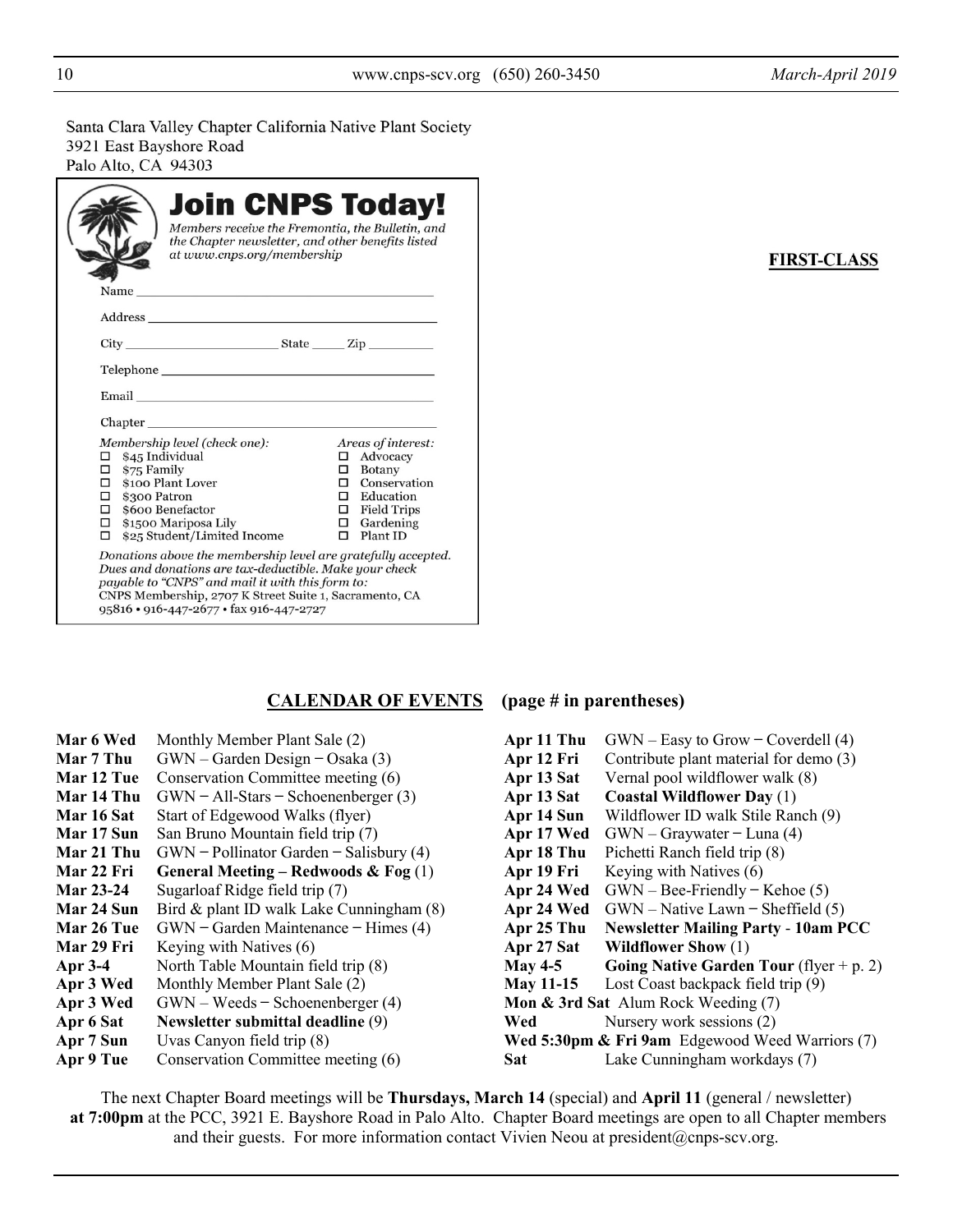Santa Clara Valley Chapter California Native Plant Society 3921 East Bayshore Road Palo Alto, CA 94303

| Name and the second state of the second state of the second state of the second state of the second state of the second state of the second state of the second state of the second state of the second state of the second st                                                   | at www.cnps.org/membership | <b>Join CNPS Today!</b><br>Members receive the Fremontia, the Bulletin, and<br>the Chapter newsletter, and other benefits listed                               |
|----------------------------------------------------------------------------------------------------------------------------------------------------------------------------------------------------------------------------------------------------------------------------------|----------------------------|----------------------------------------------------------------------------------------------------------------------------------------------------------------|
|                                                                                                                                                                                                                                                                                  |                            |                                                                                                                                                                |
| $City$ ${\color{red} 2ip}$ ${\color{red} 2ip}$ ${\color{red} 2ip}$                                                                                                                                                                                                               |                            |                                                                                                                                                                |
| Telephone <b>Example</b>                                                                                                                                                                                                                                                         |                            |                                                                                                                                                                |
| Email and the contract of the contract of the contract of the contract of the contract of the contract of the                                                                                                                                                                    |                            |                                                                                                                                                                |
| Chapter                                                                                                                                                                                                                                                                          |                            |                                                                                                                                                                |
| Membership level (check one):<br>\$45 Individual<br>□<br>\$75 Family<br>□<br>\$100 Plant Lover<br>о<br>$\Box$ \$300 Patron<br>$\Box$ \$600 Benefactor<br>$\Box$ \$1500 Mariposa Lily<br>п<br>\$25 Student/Limited Income                                                         |                            | Areas of interest:<br>$\Box$ Advocacy<br>$\Box$ Botany<br>$\Box$ Conservation<br>$\Box$ Education<br>$\Box$ Field Trips<br>$\Box$ Gardening<br>$\Box$ Plant ID |
| Donations above the membership level are gratefully accepted.<br>Dues and donations are tax-deductible. Make your check<br>payable to "CNPS" and mail it with this form to:<br>CNPS Membership, 2707 K Street Suite 1, Sacramento, CA<br>95816 · 916-447-2677 · fax 916-447-2727 |                            |                                                                                                                                                                |

#### **FIRST-CLASS**

### **CALENDAR OF EVENTS (page # in parentheses)**

| Mar 6 Wed         | Monthly Member Plant Sale (2)             | Apr 11 Thu       | $GWN - Easy to Grow - Coverdell (4)$            |
|-------------------|-------------------------------------------|------------------|-------------------------------------------------|
| Mar 7 Thu         | $GWN - Garden Design - Osaka (3)$         | Apr 12 Fri       | Contribute plant material for demo (3)          |
| Mar 12 Tue        | Conservation Committee meeting (6)        | Apr 13 Sat       | Vernal pool wildflower walk (8)                 |
| Mar 14 Thu        | $GWN - All-Stars - Schoenenberger (3)$    | Apr 13 Sat       | <b>Coastal Wildflower Day (1)</b>               |
| <b>Mar 16 Sat</b> | Start of Edgewood Walks (flyer)           | Apr 14 Sun       | Wildflower ID walk Stile Ranch (9)              |
| Mar 17 Sun        | San Bruno Mountain field trip (7)         | Apr 17 Wed       | $GWN - Graywater - Luna (4)$                    |
| Mar 21 Thu        | $GWN - Pollinator$ Garden – Salisbury (4) | Apr 18 Thu       | Pichetti Ranch field trip (8)                   |
| <b>Mar 22 Fri</b> | General Meeting – Redwoods & Fog $(1)$    | Apr 19 Fri       | Keying with Natives (6)                         |
| <b>Mar 23-24</b>  | Sugarloaf Ridge field trip (7)            | Apr 24 Wed       | $GWN - Bee-Friendly - Kehoe(5)$                 |
| Mar 24 Sun        | Bird & plant ID walk Lake Cunningham (8)  |                  | Apr 24 Wed $GWN - Native Lawn - Sheffield (5)$  |
| Mar 26 Tue        | $GWN - Garden Maintenance - Himes (4)$    | Apr 25 Thu       | <b>Newsletter Mailing Party - 10am PCC</b>      |
| Mar 29 Fri        | Keying with Natives (6)                   | Apr 27 Sat       | <b>Wildflower Show</b> (1)                      |
| Apr 3-4           | North Table Mountain field trip (8)       | <b>May 4-5</b>   | Going Native Garden Tour (flyer + p. 2)         |
| Apr 3 Wed         | Monthly Member Plant Sale (2)             | <b>May 11-15</b> | Lost Coast backpack field trip (9)              |
| Apr 3 Wed         | $GWN - Weeds - Schoenenberger (4)$        |                  | Mon & 3rd Sat Alum Rock Weeding (7)             |
| Apr 6 Sat         | Newsletter submittal deadline (9)         | Wed              | Nursery work sessions (2)                       |
| Apr 7 Sun         | Uvas Canyon field trip (8)                |                  | Wed 5:30pm & Fri 9am Edgewood Weed Warriors (7) |
| Apr 9 Tue         | Conservation Committee meeting (6)        | Sat              | Lake Cunningham workdays (7)                    |
|                   |                                           |                  |                                                 |

The next Chapter Board meetings will be **Thursdays, March 14** (special) and **April 11** (general / newsletter)  **at 7:00pm** at the PCC, 3921 E. Bayshore Road in Palo Alto. Chapter Board meetings are open to all Chapter members and their guests. For more information contact Vivien Neou at president@cnps-scv.org.